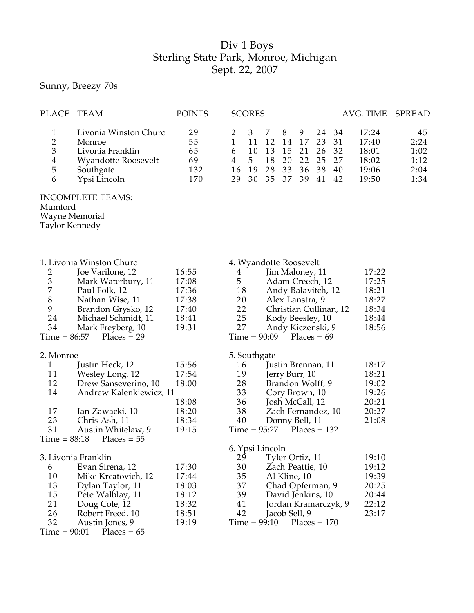## Div 1 Boys Sterling State Park, Monroe, Michigan Sept. 22, 2007

Sunny, Breezy 70s

| <b>PLACE</b>                                                         | TEAM                                                                                                                                                                                            | <b>POINTS</b>                                               | <b>SCORES</b><br>AVG. TIME                                                                                                                                                                                                                                                                                                                 | SPREAD                                     |
|----------------------------------------------------------------------|-------------------------------------------------------------------------------------------------------------------------------------------------------------------------------------------------|-------------------------------------------------------------|--------------------------------------------------------------------------------------------------------------------------------------------------------------------------------------------------------------------------------------------------------------------------------------------------------------------------------------------|--------------------------------------------|
| $\mathbf{1}$<br>$rac{2}{3}$<br>$\frac{4}{5}$<br>6                    | Livonia Winston Churc<br>Monroe<br>Livonia Franklin<br>Wyandotte Roosevelt<br>Southgate<br>Ypsi Lincoln                                                                                         | 29<br>55<br>65<br>69<br>132<br>170                          | 3<br>8<br>7<br>9<br>24<br>2<br>34<br>17:24<br>$\mathbf{1}$<br>12<br>17<br>23<br>11<br>14<br>31<br>17:40<br>10<br>6<br>13<br>15<br>21<br>32<br>26<br>18:01<br>18<br>20<br>22<br>$\overline{4}$<br>5 <sub>5</sub><br>25<br>27<br>18:02<br>33<br>28<br>38<br>19<br>36<br>16<br>40<br>19:06<br>35<br>37<br>41<br>29<br>30<br>39<br>42<br>19:50 | 45<br>2:24<br>1:02<br>1:12<br>2:04<br>1:34 |
| Mumford<br><b>Wayne Memorial</b><br>Taylor Kennedy                   | <b>INCOMPLETE TEAMS:</b>                                                                                                                                                                        |                                                             |                                                                                                                                                                                                                                                                                                                                            |                                            |
| 2<br>$\mathfrak{Z}$<br>7<br>$8\,$<br>9<br>24<br>34<br>$Time = 86:57$ | 1. Livonia Winston Churc<br>Joe Varilone, 12<br>Mark Waterbury, 11<br>Paul Folk, 12<br>Nathan Wise, 11<br>Brandon Grysko, 12<br>Michael Schmidt, 11<br>Mark Freyberg, 10<br>$Places = 29$       | 16:55<br>17:08<br>17:36<br>17:38<br>17:40<br>18:41<br>19:31 | 4. Wyandotte Roosevelt<br>17:22<br>Jim Maloney, 11<br>$\overline{4}$<br>5<br>17:25<br>Adam Creech, 12<br>18<br>18:21<br>Andy Balavitch, 12<br>18:27<br>20<br>Alex Lanstra, 9<br>22<br>18:34<br>Christian Cullinan, 12<br>25<br>18:44<br>Kody Beesley, 10<br>27<br>18:56<br>Andy Kiczenski, 9<br>$Time = 90:09$<br>$Places = 69$            |                                            |
| 2. Monroe<br>1<br>11<br>12<br>14<br>17<br>23<br>31<br>$Time = 88:18$ | Justin Heck, 12<br>Wesley Long, 12<br>Drew Sanseverino, 10<br>Andrew Kalenkiewicz, 11<br>Ian Zawacki, 10<br>Chris Ash, 11<br>Austin Whitelaw, 9                                                 | 15:56<br>17:54<br>18:00<br>18:08<br>18:20<br>18:34<br>19:15 | 5. Southgate<br>18:17<br>Justin Brennan, 11<br>16<br>19<br>18:21<br>Jerry Burr, 10<br>28<br>Brandon Wolff, 9<br>19:02<br>33<br>Cory Brown, 10<br>19:26<br>36<br>20:21<br>Josh McCall, 12<br>38<br>20:27<br>Zach Fernandez, 10<br>40<br>21:08<br>Donny Bell, 11<br>$Time = 95:27$ Places = 132                                              |                                            |
| 6<br>10<br>13<br>15<br>21<br>26<br>32<br>$Time = 90:01$              | $Places = 55$<br>3. Livonia Franklin<br>Evan Sirena, 12<br>Mike Krcatovich, 12<br>Dylan Taylor, 11<br>Pete Walblay, 11<br>Doug Cole, 12<br>Robert Freed, 10<br>Austin Jones, 9<br>$Places = 65$ | 17:30<br>17:44<br>18:03<br>18:12<br>18:32<br>18:51<br>19:19 | 6. Ypsi Lincoln<br>19:10<br>Tyler Ortiz, 11<br>29<br>30<br>Zach Peattie, 10<br>19:12<br>35<br>19:39<br>Al Kline, 10<br>37<br>Chad Opferman, 9<br>20:25<br>39<br>David Jenkins, 10<br>20:44<br>22:12<br>41<br>Jordan Kramarczyk, 9<br>42<br>23:17<br>Jacob Sell, 9<br>$Time = 99:10$<br>$Places = 170$                                      |                                            |